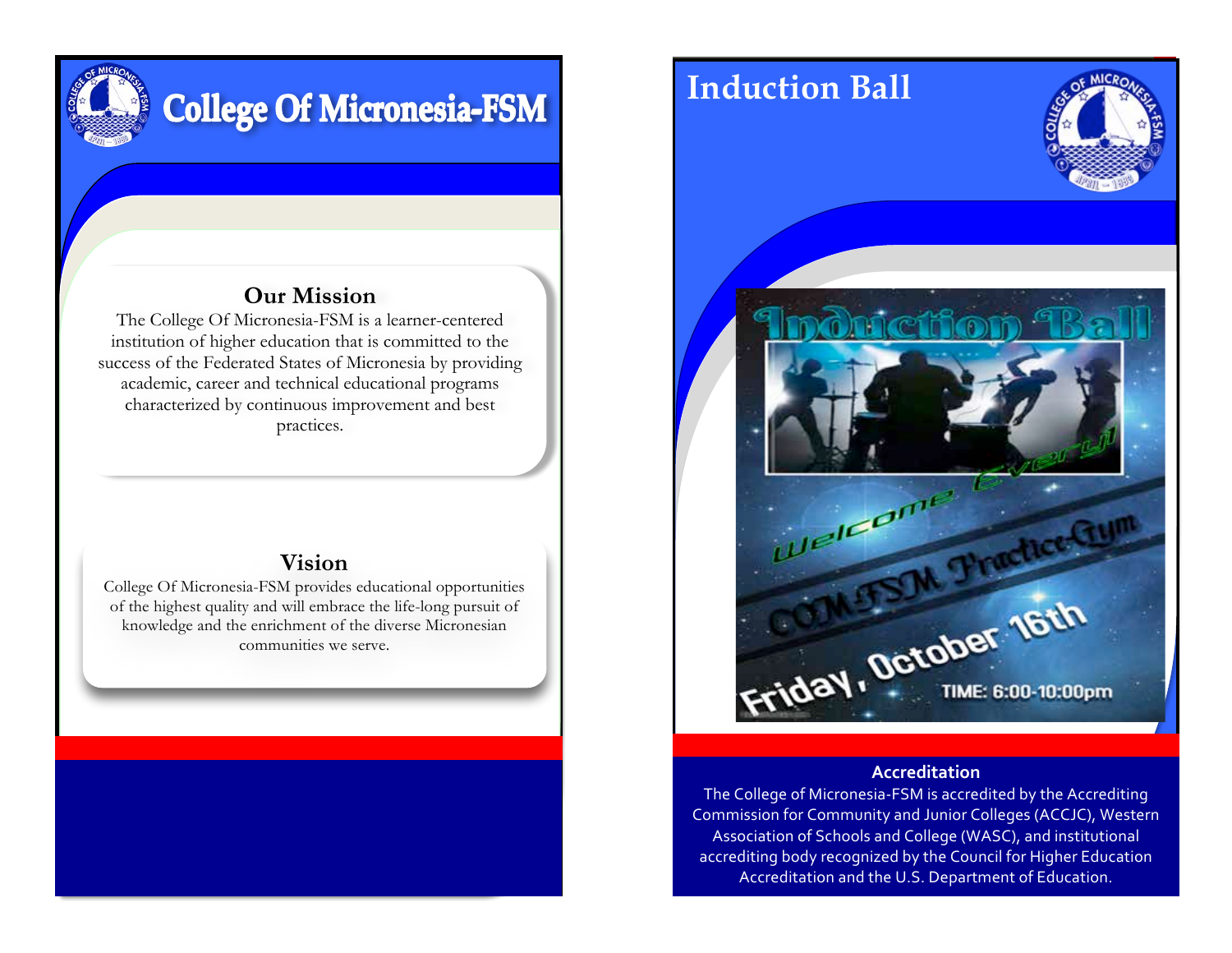

# **College Of Micronesia-FSM**

## **Our Mission**

The College Of Micronesia-FSM is a learner-centered institution of higher education that is committed to the success of the Federated States of Micronesia by providing academic, career and technical educational programs characterized by continuous improvement and best practices.

### **Vision**

College Of Micronesia-FSM provides educational opportunities of the highest quality and will embrace the life-long pursuit of knowledge and the enrichment of the diverse Micronesian communities we serve.



#### **Accreditation**

The College of Micronesia-FSM is accredited by the Accrediting Commission for Community and Junior Colleges (ACCJC), Western Association of Schools and College (WASC), and institutional accrediting body recognized by the Council for Higher Education Accreditation and the U.S. Department of Education.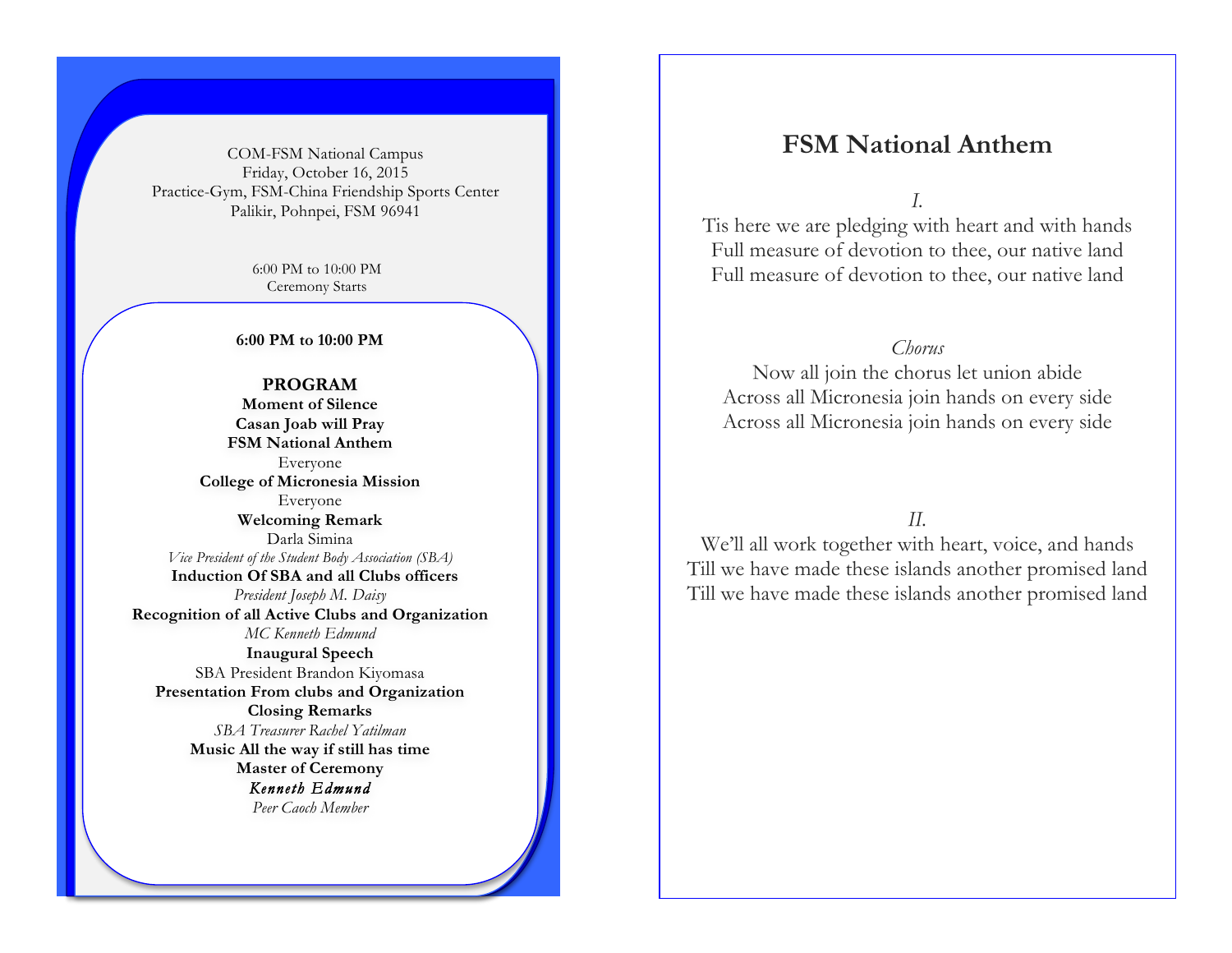COM-FSM National Campus Friday, October 16, 2015 Practice-Gym, FSM-China Friendship Sports Center Palikir, Pohnpei, FSM 96941

> 6:00 PM to 10:00 PM Ceremony Starts

**6:00 PM to 10:00 PM**

**PROGRAM Moment of Silence Casan Joab will Pray FSM National Anthem** Everyone **College of Micronesia Mission**  Everyone **Welcoming Remark** Darla Simina *Vice President of the Student Body Association (SBA)* **Induction Of SBA and all Clubs officers** *President Joseph M. Daisy* **Recognition of all Active Clubs and Organization** *MC Kenneth Edmund* **Inaugural Speech**  SBA President Brandon Kiyomasa **Presentation From clubs and Organization Closing Remarks** *SBA Treasurer Rachel Yatilman* **Music All the way if still has time Master of Ceremony** *Kenneth Edmund Peer Caoch Member*

## **FSM National Anthem**

*I.* 

Tis here we are pledging with heart and with hands Full measure of devotion to thee, our native land Full measure of devotion to thee, our native land

#### *Chorus*

Now all join the chorus let union abide Across all Micronesia join hands on every side Across all Micronesia join hands on every side

*II.* 

We'll all work together with heart, voice, and hands Till we have made these islands another promised land Till we have made these islands another promised land